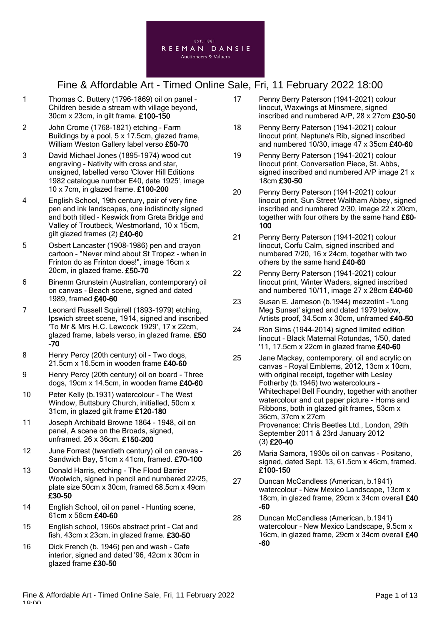

- 1 Thomas C. Buttery (1796-1869) oil on panel Children beside a stream with village beyond, 30cm x 23cm, in gilt frame. £100-150
- 2 John Crome (1768-1821) etching Farm Buildings by a pool, 5 x 17.5cm, glazed frame, William Weston Gallery label verso £50-70
- 3 David Michael Jones (1895-1974) wood cut engraving - Nativity with cross and star, unsigned, labelled verso 'Clover Hill Editions 1982 catalogue number E40, date 1925', image 10 x 7cm, in glazed frame. £100-200
- 4 English School, 19th century, pair of very fine pen and ink landscapes, one indistinctly signed and both titled - Keswick from Greta Bridge and Valley of Troutbeck, Westmorland, 10 x 15cm, gilt glazed frames (2) £40-60
- 5 Osbert Lancaster (1908-1986) pen and crayon cartoon - "Never mind about St Tropez - when in Frinton do as Frinton does!", image 16cm x 20cm, in glazed frame. £50-70
- 6 Binenm Grunstein (Australian, contemporary) oil on canvas - Beach scene, signed and dated 1989, framed £40-60
- 7 Leonard Russell Squirrell (1893-1979) etching, Ipswich street scene, 1914, signed and inscribed 'To Mr & Mrs H.C. Lewcock 1929', 17 x 22cm, glazed frame, labels verso, in glazed frame. £50 -70
- 8 Henry Percy (20th century) oil Two dogs, 21.5cm x 16.5cm in wooden frame £40-60
- 9 Henry Percy (20th century) oil on board Three dogs, 19cm x 14.5cm, in wooden frame £40-60
- 10 Peter Kelly (b.1931) watercolour The West Window, Buttsbury Church, initialled, 50cm x 31cm, in glazed gilt frame £120-180
- 11 Joseph Archibald Browne 1864 1948, oil on panel, A scene on the Broads, signed, unframed. 26 x 36cm. £150-200
- 12 June Forrest (twentieth century) oil on canvas Sandwich Bay, 51cm x 41cm, framed. £70-100
- 13 Donald Harris, etching The Flood Barrier Woolwich, signed in pencil and numbered 22/25, plate size 50cm x 30cm, framed 68.5cm x 49cm £30-50
- 14 English School, oil on panel Hunting scene, 61cm x 56cm £40-60
- 15 English school, 1960s abstract print Cat and fish, 43cm x 23cm, in glazed frame. £30-50
- 16 Dick French (b. 1946) pen and wash Cafe interior, signed and dated '96, 42cm x 30cm in glazed frame £30-50
- 17 Penny Berry Paterson (1941-2021) colour linocut, Waxwings at Minsmere, signed inscribed and numbered A/P, 28 x 27cm £30-50
- 18 Penny Berry Paterson (1941-2021) colour linocut print, Neptune's Rib, signed inscribed and numbered 10/30, image 47 x 35cm £40-60
- 19 Penny Berry Paterson (1941-2021) colour linocut print, Conversation Piece, St. Abbs, signed inscribed and numbered A/P image 21 x 18cm £30-50
- 20 Penny Berry Paterson (1941-2021) colour linocut print, Sun Street Waltham Abbey, signed inscribed and numbered 2/30, image 22 x 20cm, together with four others by the same hand £60-100
- 21 Penny Berry Paterson (1941-2021) colour linocut, Corfu Calm, signed inscribed and numbered 7/20, 16 x 24cm, together with two others by the same hand £40-60
- 22 Penny Berry Paterson (1941-2021) colour linocut print, Winter Waders, signed inscribed and numbered 10/11, image  $27 \times 28$ cm £40-60
- 23 Susan E. Jameson (b.1944) mezzotint 'Long Meg Sunset' signed and dated 1979 below, Artists proof, 34.5cm x 30cm, unframed £40-50
- 24 Ron Sims (1944-2014) signed limited edition linocut - Black Maternal Rotundas, 1/50, dated '11, 17.5cm x 22cm in glazed frame £40-60
- 25 Jane Mackay, contemporary, oil and acrylic on canvas - Royal Emblems, 2012, 13cm x 10cm, with original receipt, together with Lesley Fotherby (b.1946) two watercolours - Whitechapel Bell Foundry, together with another watercolour and cut paper picture - Horns and Ribbons, both in glazed gilt frames, 53cm x 36cm, 37cm x 27cm Provenance: Chris Beetles Ltd., London, 29th September 2011 & 23rd January 2012 (3) £20-40
- 26 Maria Samora, 1930s oil on canvas Positano, signed, dated Sept. 13, 61.5cm x 46cm, framed. £100-150
- 27 Duncan McCandless (American, b.1941) watercolour - New Mexico Landscape, 13cm x 18cm, in glazed frame, 29cm x 34cm overall £40 -60
- 28 Duncan McCandless (American, b.1941) watercolour - New Mexico Landscape, 9.5cm x 16cm, in glazed frame, 29cm x 34cm overall £40 -60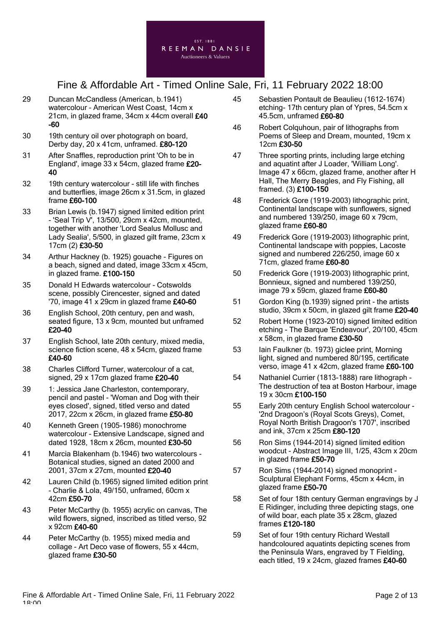

- 29 Duncan McCandless (American, b.1941) watercolour - American West Coast, 14cm x 21cm, in glazed frame, 34cm x 44cm overall £40 -60
- 30 19th century oil over photograph on board, Derby day, 20 x 41cm, unframed. £80-120
- 31 After Snaffles, reproduction print 'Oh to be in England', image 33 x 54cm, glazed frame £20- 40
- 32 19th century watercolour still life with finches and butterflies, image 26cm x 31.5cm, in glazed frame £60-100
- 33 Brian Lewis (b.1947) signed limited edition print  $-$  'Seal Trip V', 13/500, 29cm x 42cm, mounted, together with another 'Lord Sealus Mollusc and Lady Sealia', 5/500, in glazed gilt frame, 23cm x 17cm (2) £30-50
- 34 Arthur Hackney (b. 1925) gouache Figures on a beach, signed and dated, image 33cm x 45cm, in glazed frame. £100-150
- 35 Donald H Edwards watercolour Cotswolds scene, possibly Cirencester, signed and dated '70, image 41 x 29cm in glazed frame £40-60
- 36 English School, 20th century, pen and wash, seated figure, 13 x 9cm, mounted but unframed £20-40
- 37 English School, late 20th century, mixed media, science fiction scene, 48 x 54cm, glazed frame £40-60
- 38 Charles Clifford Turner, watercolour of a cat, signed, 29 x 17cm glazed frame £20-40
- 39 1: Jessica Jane Charleston, contemporary, pencil and pastel - 'Woman and Dog with their eyes closed', signed, titled verso and dated 2017, 22cm x 26cm, in glazed frame £50-80
- 40 Kenneth Green (1905-1986) monochrome watercolour - Extensive Landscape, signed and dated 1928, 18cm x 26cm, mounted £30-50
- 41 Marcia Blakenham (b.1946) two watercolours Botanical studies, signed an dated 2000 and 2001, 37cm x 27cm, mounted £20-40
- 42 Lauren Child (b.1965) signed limited edition print - Charlie & Lola, 49/150, unframed, 60cm x 42cm £50-70
- 43 Peter McCarthy (b. 1955) acrylic on canvas, The wild flowers, signed, inscribed as titled verso, 92 x 92cm £40-60
- 44 Peter McCarthy (b. 1955) mixed media and collage - Art Deco vase of flowers, 55 x 44cm, glazed frame £30-50
- 45 Sebastien Pontault de Beaulieu (1612-1674) etching- 17th century plan of Ypres, 54.5cm x 45.5cm, unframed £60-80
- 46 Robert Colquhoun, pair of lithographs from Poems of Sleep and Dream, mounted, 19cm x 12cm £30-50
- 47 Three sporting prints, including large etching and aquatint after J Loader, 'William Long'. Image 47 x 66cm, glazed frame, another after H Hall, The Merry Beagles, and Fly Fishing, all framed. (3) £100-150
- 48 Frederick Gore (1919-2003) lithographic print, Continental landscape with sunflowers, signed and numbered 139/250, image 60 x 79cm, glazed frame £60-80
- 49 Frederick Gore (1919-2003) lithographic print, Continental landscape with poppies, Lacoste signed and numbered 226/250, image 60 x 71cm, glazed frame £60-80
- 50 Frederick Gore (1919-2003) lithographic print, Bonnieux, signed and numbered 139/250, image 79 x 59cm, glazed frame  $£60-80$
- 51 Gordon King (b.1939) signed print the artists studio, 39cm x 50cm, in glazed gilt frame £20-40
- 52 Robert Horne (1923-2010) signed limited edition etching - The Barque 'Endeavour', 20/100, 45cm x 58cm, in glazed frame £30-50
- 53 Iain Faulkner (b. 1973) giclee print, Morning light, signed and numbered 80/195, certificate verso, image 41 x 42cm, glazed frame £60-100
- 54 Nathaniel Currier (1813-1888) rare lithograph The destruction of tea at Boston Harbour, image 19 x 30cm £100-150
- 55 Early 20th century English School watercolour '2nd Dragoon's (Royal Scots Greys), Comet, Royal North British Dragoon's 1707', inscribed and ink, 37cm x 25cm £80-120
- 56 Ron Sims (1944-2014) signed limited edition woodcut - Abstract Image III, 1/25, 43cm x 20cm in glazed frame £50-70
- 57 Ron Sims (1944-2014) signed monoprint Sculptural Elephant Forms, 45cm x 44cm, in glazed frame £50-70
- 58 Set of four 18th century German engravings by J E Ridinger, including three depicting stags, one of wild boar, each plate 35 x 28cm, glazed frames £120-180
- 59 Set of four 19th century Richard Westall handcoloured aquatints depicting scenes from the Peninsula Wars, engraved by T Fielding, each titled, 19 x 24cm, glazed frames £40-60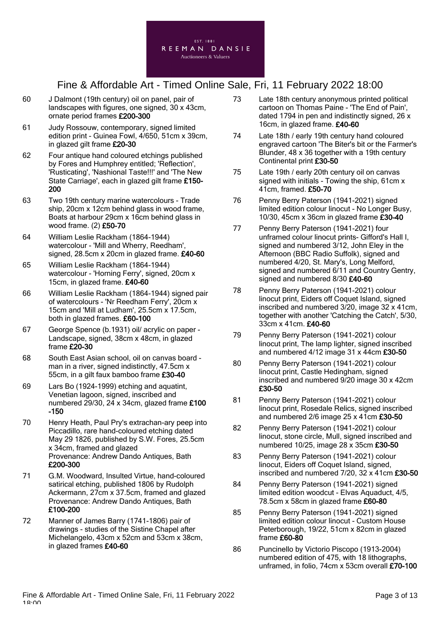

- 60 J Dalmont (19th century) oil on panel, pair of landscapes with figures, one signed, 30 x 43cm, ornate period frames £200-300
- 61 Judy Rossouw, contemporary, signed limited edition print - Guinea Fowl, 4/650, 51cm x 39cm, in glazed gilt frame £20-30
- 62 Four antique hand coloured etchings published by Fores and Humphrey entitled; 'Reflection', 'Rusticating', 'Nashional Taste!!!' and 'The New State Carriage', each in glazed gilt frame £150- 200
- 63 Two 19th century marine watercolours Trade ship, 20cm x 12cm behind glass in wood frame, Boats at harbour 29cm x 16cm behind glass in wood frame. (2) £50-70
- 64 William Leslie Rackham (1864-1944) watercolour - 'Mill and Wherry, Reedham', signed, 28.5cm x 20cm in glazed frame. £40-60
- 65 William Leslie Rackham (1864-1944) watercolour - 'Horning Ferry', signed, 20cm x 15cm, in glazed frame. £40-60
- 66 William Leslie Rackham (1864-1944) signed pair of watercolours - 'Nr Reedham Ferry', 20cm x 15cm and 'Mill at Ludham', 25.5cm x 17.5cm, both in glazed frames. £60-100
- 67 George Spence (b.1931) oil/ acrylic on paper Landscape, signed, 38cm x 48cm, in glazed frame £20-30
- 68 South East Asian school, oil on canvas board man in a river, signed indistinctly, 47.5cm x 55cm, in a gilt faux bamboo frame £30-40
- 69 Lars Bo (1924-1999) etching and aquatint, Venetian lagoon, signed, inscribed and numbered 29/30, 24 x 34cm, glazed frame £100 -150
- 70 Henry Heath, Paul Pry's extrachan-ary peep into Piccadillo, rare hand-coloured etching dated May 29 1826, published by S.W. Fores, 25.5cm x 34cm, framed and glazed Provenance: Andrew Dando Antiques, Bath £200-300
- 71 G.M. Woodward, Insulted Virtue, hand-coloured satirical etching, published 1806 by Rudolph Ackermann, 27cm x 37.5cm, framed and glazed Provenance: Andrew Dando Antiques, Bath £100-200
- 72 Manner of James Barry (1741-1806) pair of drawings - studies of the Sistine Chapel after Michelangelo, 43cm x 52cm and 53cm x 38cm, in glazed frames £40-60
- 73 Late 18th century anonymous printed political cartoon on Thomas Paine - 'The End of Pain', dated 1794 in pen and indistinctly signed, 26 x 16cm, in glazed frame. £40-60
- 74 Late 18th / early 19th century hand coloured engraved cartoon 'The Biter's bit or the Farmer's Blunder, 48 x 36 together with a 19th century Continental print £30-50
- 75 Late 19th / early 20th century oil on canvas signed with initials - Towing the ship, 61cm x 41cm, framed. £50-70
- 76 Penny Berry Paterson (1941-2021) signed limited edition colour linocut - No Longer Busy, 10/30, 45cm x 36cm in glazed frame £30-40
- 77 Penny Berry Paterson (1941-2021) four unframed colour linocut prints- Gifford's Hall I, signed and numbered 3/12, John Eley in the Afternoon (BBC Radio Suffolk), signed and numbered 4/20, St. Mary's, Long Melford, signed and numbered 6/11 and Country Gentry, signed and numbered 8/30 £40-60
- 78 Penny Berry Paterson (1941-2021) colour linocut print, Eiders off Coquet Island, signed inscribed and numbered 3/20, image 32 x 41cm, together with another 'Catching the Catch', 5/30, 33cm x 41cm. £40-60
- 79 Penny Berry Paterson (1941-2021) colour linocut print, The lamp lighter, signed inscribed and numbered  $4/12$  image  $31 \times 44$ cm  $£30-50$
- 80 Penny Berry Paterson (1941-2021) colour linocut print, Castle Hedingham, signed inscribed and numbered 9/20 image 30 x 42cm £30-50
- 81 Penny Berry Paterson (1941-2021) colour linocut print, Rosedale Relics, signed inscribed and numbered  $2/6$  image  $25 \times 41$ cm  $£30-50$
- 82 Penny Berry Paterson (1941-2021) colour linocut, stone circle, Mull, signed inscribed and numbered 10/25, image 28 x 35cm £30-50
- 83 Penny Berry Paterson (1941-2021) colour linocut, Eiders off Coquet Island, signed, inscribed and numbered 7/20, 32 x 41cm £30-50
- 84 Penny Berry Paterson (1941-2021) signed limited edition woodcut - Elvas Aquaduct, 4/5, 78.5cm x 58cm in glazed frame £60-80
- 85 Penny Berry Paterson (1941-2021) signed limited edition colour linocut - Custom House Peterborough, 19/22, 51cm x 82cm in glazed frame £60-80
- 86 Puncinello by Victorio Piscopo (1913-2004) numbered edition of 475, with 18 lithographs, unframed, in folio, 74cm x 53cm overall £70-100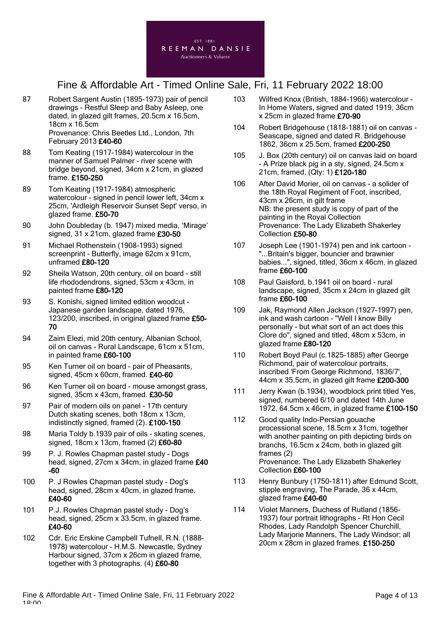

- 87 Robert Sargent Austin (1895-1973) pair of pencil drawings - Restful Sleep and Baby Asleep, one dated, in glazed gilt frames, 20.5cm x 16.5cm, 18cm x 16.5cm Provenance: Chris Beetles Ltd., London, 7th February 2013 £40-60
- 88 Tom Keating (1917-1984) watercolour in the manner of Samuel Palmer - river scene with bridge beyond, signed, 34cm x 21cm, in glazed frame. £150-250
- 89 Tom Keating (1917-1984) atmospheric watercolour - signed in pencil lower left, 34cm x 25cm, 'Ardleigh Reservoir Sunset Sept' verso, in glazed frame. £50-70
- 90 John Doubleday (b. 1947) mixed media, 'Mirage' signed, 31 x 21cm, glazed frame £30-50
- 91 Michael Rothenstein (1908-1993) signed screenprint - Butterfly, image 62cm x 91cm, unframed £80-120
- 92 Sheila Watson, 20th century, oil on board still life rhododendrons, signed, 53cm x 43cm, in painted frame £80-120
- 93 S. Konishi, signed limited edition woodcut Japanese garden landscape, dated 1976, 123/200, inscribed, in original glazed frame £50- 70
- 94 Zaim Elezi, mid 20th century, Albanian School, oil on canvas - Rural Landscape, 61cm x 51cm, in painted frame £60-100
- 95 Ken Turner oil on board pair of Pheasants, signed, 45cm x 60cm, framed. £40-60
- 96 Ken Turner oil on board mouse amongst grass, signed, 35cm x 43cm, framed. £30-50
- 97 Pair of modern oils on panel 17th century Dutch skating scenes, both 18cm x 13cm, indistinctly signed, framed (2). £100-150
- 98 Maria Toldy b.1939 pair of oils skating scenes, signed, 18cm x 13cm, framed (2) £60-80
- 99 P. J. Rowles Chapman pastel study Dogs head, signed, 27cm x 34cm, in glazed frame £40 -60
- 100 P. J Rowles Chapman pastel study Dog's head, signed, 28cm x 40cm, in glazed frame. £40-60
- 101 P.J. Rowles Chapman pastel study Dog's head, signed, 25cm x 33.5cm, in glazed frame. £40-60
- 102 Cdr. Eric Erskine Campbell Tufnell, R.N. (1888- 1978) watercolour - H.M.S. Newcastle, Sydney Harbour signed, 37cm x 26cm in glazed frame, together with 3 photographs. (4) £60-80
- 103 Wilfred Knox (British, 1884-1966) watercolour In Home Waters, signed and dated 1919, 36cm x 25cm in glazed frame £70-90
- 104 Robert Bridgehouse (1818-1881) oil on canvas Seascape, signed and dated R. Bridgehouse 1862, 36cm x 25.5cm, framed £200-250
- 105 J. Box (20th century) oil on canvas laid on board - A Prize black pig in a sty, signed, 24.5cm x 21cm, framed. (Qty: 1) £120-180
- 106 After David Morier, oil on canvas a solider of the 18th Royal Regiment of Foot, inscribed, 43cm x 26cm, in gilt frame NB: the present study is copy of part of the painting in the Royal Collection Provenance: The Lady Elizabeth Shakerley Collection £50-80
- 107 Joseph Lee (1901-1974) pen and ink cartoon "...Britain's bigger, bouncier and brawnier babies...", signed, titled, 36cm x 46cm, in glazed frame £60-100
- 108 Paul Gaisford, b.1941 oil on board rural landscape, signed, 35cm x 24cm in glazed gilt frame £60-100
- 109 Jak, Raymond Allen Jackson (1927-1997) pen, ink and wash cartoon - "Well I know Billy personally - but what sort of an act does this Clore do", signed and titled, 48cm x 53cm, in glazed frame £80-120
- 110 Robert Boyd Paul (c.1825-1885) after George Richmond, pair of watercolour portraits, inscribed 'From George Richmond, 1836/7', 44cm x 35.5cm, in glazed gilt frame £200-300
- 111 Jerry Kwan (b.1934), woodblock print titled Yes, signed, numbered 6/10 and dated 14th June 1972, 64.5cm x 46cm, in glazed frame £100-150
- 112 Good quality Indo-Persian gouache processional scene, 18.5cm x 31cm, together with another painting on pith depicting birds on branchs, 16.5cm x 24cm, both in glazed gilt frames (2) Provenance: The Lady Elizabeth Shakerley Collection £60-100
- 113 Henry Bunbury (1750-1811) after Edmund Scott, stipple engraving, The Parade, 36 x 44cm, glazed frame £40-60
- 114 Violet Manners, Duchess of Rutland (1856- 1937) four portrait lithographs - Rt Hon Cecil Rhodes, Lady Randolph Spencer Churchill, Lady Marjorie Manners, The Lady Windsor; all 20cm x 28cm in glazed frames. £150-250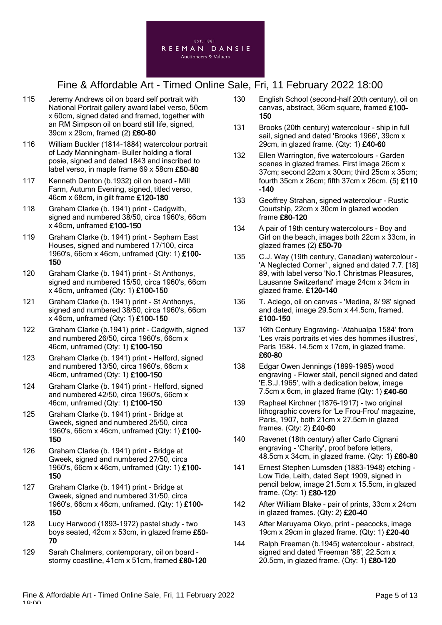

- 115 Jeremy Andrews oil on board self portrait with National Portrait gallery award label verso, 50cm x 60cm, signed dated and framed, together with an RM Simpson oil on board still life, signed, 39cm x 29cm, framed (2) £60-80
- 116 William Buckler (1814-1884) watercolour portrait of Lady Manningham- Buller holding a floral posie, signed and dated 1843 and inscribed to label verso, in maple frame 69 x 58cm £50-80
- 117 Kenneth Denton (b.1932) oil on board Mill Farm, Autumn Evening, signed, titled verso, 46cm x 68cm, in gilt frame £120-180
- 118 Graham Clarke (b. 1941) print Cadgwith, signed and numbered 38/50, circa 1960's, 66cm x 46cm, unframed £100-150
- 119 Graham Clarke (b. 1941) print Sepharn East Houses, signed and numbered 17/100, circa 1960's, 66cm x 46cm, unframed (Qty: 1) £100- 150
- 120 Graham Clarke (b. 1941) print St Anthonys, signed and numbered 15/50, circa 1960's, 66cm x 46cm, unframed (Qty: 1) £100-150
- 121 Graham Clarke (b. 1941) print St Anthonys, signed and numbered 38/50, circa 1960's, 66cm x 46cm, unframed (Qty: 1) £100-150
- 122 Graham Clarke (b.1941) print Cadgwith, signed and numbered 26/50, circa 1960's, 66cm x 46cm, unframed (Qty: 1) £100-150
- 123 Graham Clarke (b. 1941) print Helford, signed and numbered 13/50, circa 1960's, 66cm x 46cm, unframed (Qty: 1) £100-150
- 124 Graham Clarke (b. 1941) print Helford, signed and numbered 42/50, circa 1960's, 66cm x 46cm, unframed (Qty: 1) £100-150
- 125 Graham Clarke (b. 1941) print Bridge at Gweek, signed and numbered 25/50, circa 1960's, 66cm x 46cm, unframed (Qty: 1) £100- 150
- 126 Graham Clarke (b. 1941) print Bridge at Gweek, signed and numbered 27/50, circa 1960's, 66cm x 46cm, unframed (Qty: 1) £100- 150
- 127 Graham Clarke (b. 1941) print Bridge at Gweek, signed and numbered 31/50, circa 1960's, 66cm x 46cm, unframed. (Qty: 1) £100- 150
- 128 Lucy Harwood (1893-1972) pastel study two boys seated, 42cm x 53cm, in glazed frame £50- 70
- 129 Sarah Chalmers, contemporary, oil on board stormy coastline, 41cm x 51cm, framed £80-120
- 130 English School (second-half 20th century), oil on canvas, abstract, 36cm square, framed £100- 150
- 131 Brooks (20th century) watercolour ship in full sail, signed and dated 'Brooks 1966', 39cm x 29cm, in glazed frame. (Qty: 1) £40-60
- 132 Ellen Warrington, five watercolours Garden scenes in glazed frames. First image 26cm x 37cm; second 22cm x 30cm; third 25cm x 35cm; fourth 35cm x 26cm; fifth 37cm x 26cm. (5) £110 -140
- 133 Geoffrey Strahan, signed watercolour Rustic Courtship, 22cm x 30cm in glazed wooden frame £80-120
- 134 A pair of 19th century watercolours Boy and Girl on the beach, images both 22cm x 33cm, in glazed frames (2) £50-70
- 135 C.J. Way (19th century, Canadian) watercolour 'A Neglected Corner' , signed and dated 7.7. [18] 89, with label verso 'No.1 Christmas Pleasures, Lausanne Switzerland' image 24cm x 34cm in glazed frame. £120-140
- 136 T. Aciego, oil on canvas 'Medina, 8/ 98' signed and dated, image 29.5cm x 44.5cm, framed. £100-150
- 137 16th Century Engraving- 'Atahualpa 1584' from 'Les vrais portraits et vies des hommes illustres', Paris 1584. 14.5cm x 17cm, in glazed frame. £60-80
- 138 Edgar Owen Jennings (1899-1985) wood engraving - Flower stall, pencil signed and dated 'E.S.J.1965', with a dedication below, image 7.5cm x 6cm, in glazed frame  $(Qty: 1)$  £40-60
- 139 Raphael Kirchner (1876-1917) two original lithographic covers for 'Le Frou-Frou' magazine, Paris, 1907, both 21cm x 27.5cm in glazed frames. (Qty: 2) £40-60
- 140 Ravenet (18th century) after Carlo Cignani engraving - 'Charity', proof before letters, 48.5cm x 34cm, in glazed frame. (Qty: 1) £60-80
- 141 Ernest Stephen Lumsden (1883-1948) etching Low Tide, Leith, dated Sept 1909, signed in pencil below, image 21.5cm x 15.5cm, in glazed frame. (Qty: 1) £80-120
- 142 After William Blake pair of prints, 33cm x 24cm in glazed frames. (Qty: 2) £20-40
- 143 After Maruyama Okyo, print peacocks, image 19cm x 29cm in glazed frame. (Qty: 1) £20-40
- 144 Ralph Freeman (b.1945) watercolour abstract, signed and dated 'Freeman '88', 22.5cm x 20.5cm, in glazed frame. (Qty: 1) £80-120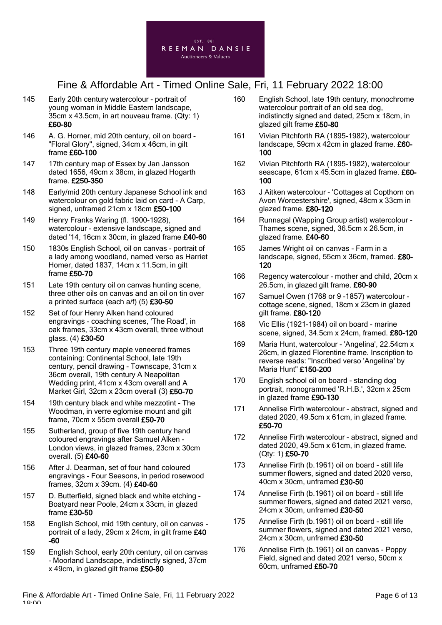

- 145 Early 20th century watercolour portrait of young woman in Middle Eastern landscape, 35cm x 43.5cm, in art nouveau frame. (Qty: 1) £60-80
- 146 A. G. Horner, mid 20th century, oil on board "Floral Glory", signed, 34cm x 46cm, in gilt frame £60-100
- 147 17th century map of Essex by Jan Jansson dated 1656, 49cm x 38cm, in glazed Hogarth frame. £250-350
- 148 Early/mid 20th century Japanese School ink and watercolour on gold fabric laid on card - A Carp, signed, unframed 21cm x 18cm £50-100
- 149 Henry Franks Waring (fl. 1900-1928), watercolour - extensive landscape, signed and dated '14, 16cm x 30cm, in glazed frame £40-60
- 150 1830s English School, oil on canvas portrait of a lady among woodland, named verso as Harriet Homer, dated 1837, 14cm x 11.5cm, in gilt frame £50-70
- 151 Late 19th century oil on canvas hunting scene, three other oils on canvas and an oil on tin over a printed surface (each a/f) (5) £30-50
- 152 Set of four Henry Alken hand coloured engravings - coaching scenes, 'The Road', in oak frames, 33cm x 43cm overall, three without glass. (4) £30-50
- 153 Three 19th century maple veneered frames containing: Continental School, late 19th century, pencil drawing - Townscape, 31cm x 36cm overall, 19th century A Neapolitan Wedding print, 41cm x 43cm overall and A Market Girl, 32cm x 23cm overall (3) £50-70
- 154 19th century black and white mezzotint The Woodman, in verre eglomise mount and gilt frame, 70cm x 55cm overall £50-70
- 155 Sutherland, group of five 19th century hand coloured engravings after Samuel Alken - London views, in glazed frames, 23cm x 30cm overall. (5) £40-60
- 156 After J. Dearman, set of four hand coloured engravings - Four Seasons, in period rosewood frames, 32cm x 39cm. (4) £40-60
- 157 D. Butterfield, signed black and white etching Boatyard near Poole, 24cm x 33cm, in glazed frame £30-50
- 158 English School, mid 19th century, oil on canvas portrait of a lady, 29cm x 24cm, in gilt frame £40 -60
- 159 English School, early 20th century, oil on canvas - Moorland Landscape, indistinctly signed, 37cm x 49cm, in glazed gilt frame £50-80
- 160 English School, late 19th century, monochrome watercolour portrait of an old sea dog, indistinctly signed and dated, 25cm x 18cm, in glazed gilt frame £50-80
- 161 Vivian Pitchforth RA (1895-1982), watercolour landscape, 59cm x 42cm in glazed frame. £60- 100
- 162 Vivian Pitchforth RA (1895-1982), watercolour seascape, 61cm x 45.5cm in glazed frame. £60-100
- 163 J Aitken watercolour 'Cottages at Copthorn on Avon Worcestershire', signed, 48cm x 33cm in glazed frame. £80-120
- 164 Runnagal (Wapping Group artist) watercolour Thames scene, signed, 36.5cm x 26.5cm, in glazed frame. £40-60
- 165 James Wright oil on canvas Farm in a landscape, signed, 55cm x 36cm, framed. £80- 120
- 166 Regency watercolour mother and child, 20cm x 26.5cm, in glazed gilt frame. £60-90
- 167 Samuel Owen (1768 or 9 -1857) watercolour cottage scene, signed, 18cm x 23cm in glazed gilt frame. £80-120
- 168 Vic Ellis (1921-1984) oil on board marine scene, signed, 34.5cm x 24cm, framed. £80-120
- 169 Maria Hunt, watercolour 'Angelina', 22.54cm x 26cm, in glazed Florentine frame. Inscription to reverse reads: "Inscribed verso 'Angelina' by Maria Hunt" £150-200
- 170 English school oil on board standing dog portrait, monogrammed 'R.H.B.', 32cm x 25cm in glazed frame £90-130
- 171 Annelise Firth watercolour abstract, signed and dated 2020, 49.5cm x 61cm, in glazed frame. £50-70
- 172 Annelise Firth watercolour abstract, signed and dated 2020, 49.5cm x 61cm, in glazed frame. (Qty: 1) £50-70
- 173 Annelise Firth (b.1961) oil on board still life summer flowers, signed and dated 2020 verso, 40cm x 30cm, unframed £30-50
- 174 Annelise Firth (b.1961) oil on board still life summer flowers, signed and dated 2021 verso, 24cm x 30cm, unframed £30-50
- 175 Annelise Firth (b.1961) oil on board still life summer flowers, signed and dated 2021 verso, 24cm x 30cm, unframed £30-50
- 176 Annelise Firth (b.1961) oil on canvas Poppy Field, signed and dated 2021 verso, 50cm x 60cm, unframed £50-70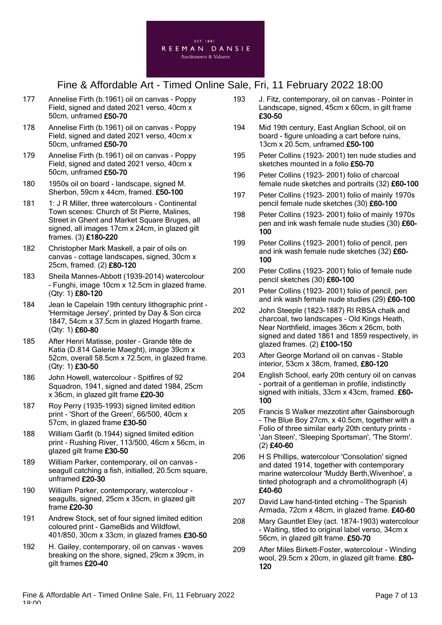

- 177 Annelise Firth (b.1961) oil on canvas Poppy Field, signed and dated 2021 verso, 40cm x 50cm, unframed £50-70
- 178 Annelise Firth (b.1961) oil on canvas Poppy Field, signed and dated 2021 verso, 40cm x 50cm, unframed £50-70
- 179 Annelise Firth (b.1961) oil on canvas Poppy Field, signed and dated 2021 verso, 40cm x 50cm, unframed £50-70
- 180 1950s oil on board landscape, signed M. Sherbon, 59cm x 44cm, framed. £50-100
- 181 1: J R Miller, three watercolours Continental Town scenes: Church of St Pierre, Malines, Street in Ghent and Market Square Bruges, all signed, all images 17cm x 24cm, in glazed gilt frames. (3) £180-220
- 182 Christopher Mark Maskell, a pair of oils on canvas - cottage landscapes, signed, 30cm x 25cm, framed. (2) £80-120
- 183 Sheila Mannes-Abbott (1939-2014) watercolour - Funghi, image 10cm x 12.5cm in glazed frame. (Qty: 1) £80-120
- 184 Jean le Capelain 19th century lithographic print 'Hermitage Jersey', printed by Day & Son circa 1847, 54cm x 37.5cm in glazed Hogarth frame. (Qty: 1) £60-80
- 185 After Henri Matisse, poster Grande tête de Katia (D.814 Galerie Maeght), image 39cm x 52cm, overall 58.5cm x 72.5cm, in glazed frame. (Qty: 1) £30-50
- 186 John Howell, watercolour Spitfires of 92 Squadron, 1941, signed and dated 1984, 25cm x 36cm, in glazed gilt frame £20-30
- 187 Roy Perry (1935-1993) signed limited edition print - 'Short of the Green', 66/500, 40cm x 57cm, in glazed frame £30-50
- 188 William Garfit (b.1944) signed limited edition print - Rushing River, 113/500, 46cm x 56cm, in glazed gilt frame £30-50
- 189 William Parker, contemporary, oil on canvas seagull catching a fish, initialled, 20.5cm square, unframed £20-30
- 190 William Parker, contemporary, watercolour seagulls, signed, 25cm x 35cm, in glazed gilt frame £20-30
- 191 Andrew Stock, set of four signed limited edition coloured print - GameBids and Wildfowl, 401/850, 30cm x 33cm, in glazed frames £30-50
- 192 H. Gailey, contemporary, oil on canvas waves breaking on the shore, signed, 29cm x 39cm, in gilt frames £20-40
- 193 J. Fitz, contemporary, oil on canvas Pointer in Landscape, signed, 45cm x 60cm, in gilt frame £30-50
- 194 Mid 19th century, East Anglian School, oil on board - figure unloading a cart before ruins, 13cm x 20.5cm, unframed £50-100
- 195 Peter Collins (1923- 2001) ten nude studies and sketches mounted in a folio £50-70
- 196 Peter Collins (1923- 2001) folio of charcoal female nude sketches and portraits (32) £60-100
- 197 Peter Collins (1923- 2001) folio of mainly 1970s pencil female nude sketches (30) £60-100
- 198 Peter Collins (1923- 2001) folio of mainly 1970s pen and ink wash female nude studies (30) £60- 100
- 199 Peter Collins (1923- 2001) folio of pencil, pen and ink wash female nude sketches (32) £60-100
- 200 Peter Collins (1923- 2001) folio of female nude pencil sketches (30) £60-100
- 201 Peter Collins (1923- 2001) folio of pencil, pen and ink wash female nude studies (29) £60-100
- 202 John Steeple (1823-1887) RI RBSA chalk and charcoal, two landscapes - Old Kings Heath, Near Northfield, images 36cm x 26cm, both signed and dated 1861 and 1859 respectively, in glazed frames. (2) £100-150
- 203 After George Morland oil on canvas Stable interior, 53cm x 38cm, framed, £80-120
- 204 English School, early 20th century oil on canvas - portrait of a gentleman in profile, indistinctly signed with initials, 33cm x 43cm, framed. £60- 100
- 205 Francis S Walker mezzotint after Gainsborough - The Blue Boy 27cm, x 40.5cm, together with a Folio of three similar early 20th century prints - 'Jan Steen', 'Sleeping Sportsman', 'The Storm'. (2) £40-60
- 206 H S Phillips, watercolour 'Consolation' signed and dated 1914, together with contemporary marine watercolour 'Muddy Berth,Wivenhoe', a tinted photograph and a chromolithograph (4) £40-60
- 207 David Law hand-tinted etching The Spanish Armada, 72cm x 48cm, in glazed frame. £40-60
- 208 Mary Gauntlet Eley (act. 1874-1903) watercolour - Waiting, titled to original label verso, 34cm x 56cm, in glazed gilt frame. £50-70
- 209 After Miles Birkett-Foster, watercolour Winding wool, 29.5cm x 20cm, in glazed gilt frame. £80- 120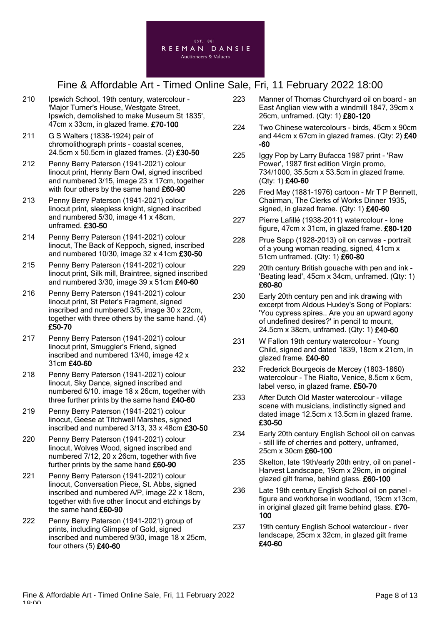

- 210 Ipswich School, 19th century, watercolour 'Major Turner's House, Westgate Street, Ipswich, demolished to make Museum St 1835', 47cm x 33cm, in glazed frame. £70-100
- 211 G S Walters (1838-1924) pair of chromolithograph prints - coastal scenes, 24.5cm x 50.5cm in glazed frames. (2) £30-50
- 212 Penny Berry Paterson (1941-2021) colour linocut print, Henny Barn Owl, signed inscribed and numbered 3/15, image 23 x 17cm, together with four others by the same hand £60-90
- 213 Penny Berry Paterson (1941-2021) colour linocut print, sleepless knight, signed inscribed and numbered 5/30, image 41 x 48cm, unframed. £30-50
- 214 Penny Berry Paterson (1941-2021) colour linocut, The Back of Keppoch, signed, inscribed and numbered 10/30, image 32 x 41cm £30-50
- 215 Penny Berry Paterson (1941-2021) colour linocut print, Silk mill, Braintree, signed inscribed and numbered  $3/30$ , image  $39 \times 51$ cm £40-60
- 216 Penny Berry Paterson (1941-2021) colour linocut print, St Peter's Fragment, signed inscribed and numbered 3/5, image 30 x 22cm, together with three others by the same hand. (4) £50-70
- 217 Penny Berry Paterson (1941-2021) colour linocut print, Smuggler's Friend, signed inscribed and numbered 13/40, image 42 x 31cm £40-60
- 218 Penny Berry Paterson (1941-2021) colour linocut, Sky Dance, signed inscribed and numbered 6/10. image 18 x 26cm, together with three further prints by the same hand £40-60
- 219 Penny Berry Paterson (1941-2021) colour linocut, Geese at Titchwell Marshes, signed inscribed and numbered 3/13, 33 x 48cm £30-50
- 220 Penny Berry Paterson (1941-2021) colour linocut, Wolves Wood, signed inscribed and numbered 7/12, 20 x 26cm, together with five further prints by the same hand £60-90
- 221 Penny Berry Paterson (1941-2021) colour linocut, Conversation Piece, St. Abbs, signed inscribed and numbered A/P, image 22 x 18cm, together with five other linocut and etchings by the same hand £60-90
- 222 Penny Berry Paterson (1941-2021) group of prints, including Glimpse of Gold, signed inscribed and numbered 9/30, image 18 x 25cm, four others (5) £40-60
- 223 Manner of Thomas Churchyard oil on board an East Anglian view with a windmill 1847, 39cm x 26cm, unframed. (Qty: 1) £80-120
- 224 Two Chinese watercolours birds, 45cm x 90cm and 44cm x 67cm in glazed frames. (Qty: 2) £40 -60
- 225 Iggy Pop by Larry Bufacca 1987 print 'Raw Power', 1987 first edition Virgin promo, 734/1000, 35.5cm x 53.5cm in glazed frame. (Qty: 1) £40-60
- 226 Fred May (1881-1976) cartoon Mr T P Bennett, Chairman, The Clerks of Works Dinner 1935, signed, in glazed frame. (Qty: 1) £40-60
- 227 Pierre Lafillé (1938-2011) watercolour lone figure, 47cm x 31cm, in glazed frame. £80-120
- 228 Prue Sapp (1928-2013) oil on canvas portrait of a young woman reading, signed, 41cm x 51cm unframed. (Qty: 1) £60-80
- 229 20th century British gouache with pen and ink 'Beating lead', 45cm x 34cm, unframed. (Qty: 1) £60-80
- 230 Early 20th century pen and ink drawing with excerpt from Aldous Huxley's Song of Poplars: 'You cypress spires.. Are you an upward agony of undefined desires?' in pencil to mount, 24.5cm x 38cm, unframed. (Qty: 1) £40-60
- 231 W Fallon 19th century watercolour Young Child, signed and dated 1839, 18cm x 21cm, in glazed frame. £40-60
- 232 Frederick Bourgeois de Mercey (1803-1860) watercolour - The Rialto, Venice, 8.5cm x 6cm, label verso, in glazed frame. £50-70
- 233 After Dutch Old Master watercolour village scene with musicians, indistinctly signed and dated image 12.5cm x 13.5cm in glazed frame. £30-50
- 234 Early 20th century English School oil on canvas - still life of cherries and pottery, unframed, 25cm x 30cm £60-100
- 235 Skelton, late 19th/early 20th entry, oil on panel Harvest Landscape, 19cm x 29cm, in original glazed gilt frame, behind glass. £60-100
- 236 Late 19th century English School oil on panel figure and workhorse in woodland, 19cm x13cm, in original glazed gilt frame behind glass. £70- 100
- 237 19th century English School waterclour river landscape, 25cm x 32cm, in glazed gilt frame £40-60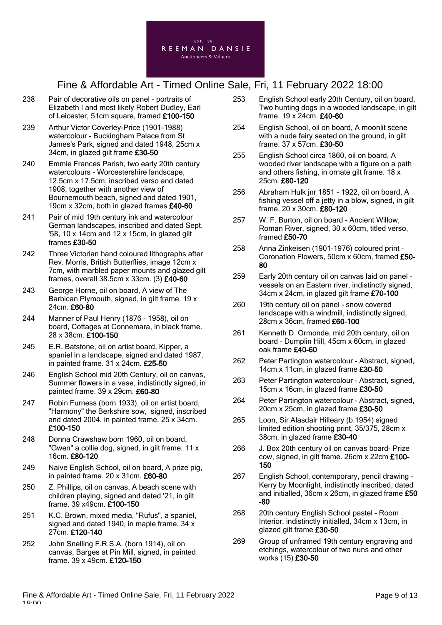- 238 Pair of decorative oils on panel portraits of Elizabeth I and most likely Robert Dudley, Earl of Leicester, 51cm square, framed £100-150
- 239 Arthur Victor Coverley-Price (1901-1988) watercolour - Buckingham Palace from St James's Park, signed and dated 1948, 25cm x 34cm, in glazed gilt frame £30-50
- 240 Emmie Frances Parish, two early 20th century watercolours - Worcestershire landscape, 12.5cm x 17.5cm, inscribed verso and dated 1908, together with another view of Bournemouth beach, signed and dated 1901, 19cm x 32cm, both in glazed frames £40-60
- 241 Pair of mid 19th century ink and watercolour German landscapes, inscribed and dated Sept. '58, 10 x 14cm and 12 x 15cm, in glazed gilt frames £30-50
- 242 Three Victorian hand coloured lithographs after Rev. Morris, British Butterflies, image 12cm x 7cm, with marbled paper mounts and glazed gilt frames, overall 38.5cm x 33cm. (3) £40-60
- 243 George Horne, oil on board, A view of The Barbican Plymouth, signed, in gilt frame, 19 x 24cm. £60-80
- 244 Manner of Paul Henry (1876 1958), oil on board, Cottages at Connemara, in black frame. 28 x 38cm. £100-150
- 245 E.R. Batstone, oil on artist board, Kipper, a spaniel in a landscape, signed and dated 1987, in painted frame. 31 x 24cm. £25-50
- 246 English School mid 20th Century, oil on canvas, Summer flowers in a vase, indistinctly signed, in painted frame. 39 x 29cm. £60-80
- 247 Robin Furness (born 1933), oil on artist board, "Harmony" the Berkshire sow, signed, inscribed and dated 2004, in painted frame. 25 x 34cm. £100-150
- 248 Donna Crawshaw born 1960, oil on board, "Gwen" a collie dog, signed, in gilt frame. 11 x 16cm. £80-120
- 249 Naive English School, oil on board, A prize pig, in painted frame. 20 x 31cm. £60-80
- 250 Z. Phillips, oil on canvas, A beach scene with children playing, signed and dated '21, in gilt frame. 39 x49cm. £100-150
- 251 K.C. Brown, mixed media, "Rufus", a spaniel, signed and dated 1940, in maple frame. 34 x 27cm. £120-140
- 252 John Snelling F.R.S.A. (born 1914), oil on canvas, Barges at Pin Mill, signed, in painted frame. 39 x 49cm. £120-150
- 253 English School early 20th Century, oil on board, Two hunting dogs in a wooded landscape, in gilt frame. 19 x 24cm. £40-60
- 254 English School, oil on board, A moonlit scene with a nude fairy seated on the ground, in gilt frame. 37 x 57cm. £30-50
- 255 English School circa 1860, oil on board, A wooded river landscape with a figure on a path and others fishing, in ornate gilt frame. 18 x 25cm. £80-120
- 256 Abraham Hulk jnr 1851 1922, oil on board, A fishing vessel off a jetty in a blow, signed, in gilt frame. 20 x 30cm. £80-120
- 257 W. F. Burton, oil on board Ancient Willow, Roman River, signed, 30 x 60cm, titled verso, framed £50-70
- 258 Anna Zinkeisen (1901-1976) coloured print Coronation Flowers, 50cm x 60cm, framed £50- 80
- 259 Early 20th century oil on canvas laid on panel vessels on an Eastern river, indistinctly signed, 34cm x 24cm, in glazed gilt frame £70-100
- 260 19th century oil on panel snow covered landscape with a windmill, indistinctly signed, 28cm x 36cm, framed £60-100
- 261 Kenneth D. Ormonde, mid 20th century, oil on board - Dumplin Hill, 45cm x 60cm, in glazed oak frame £40-60
- 262 Peter Partington watercolour Abstract, signed, 14cm x 11cm, in glazed frame £30-50
- 263 Peter Partington watercolour Abstract, signed, 15cm x 16cm, in glazed frame £30-50
- 264 Peter Partington watercolour Abstract, signed, 20cm x 25cm, in glazed frame £30-50
- 265 Loon, Sir Alasdair Hilleary (b.1954) signed limited edition shooting print, 35/375, 28cm x 38cm, in glazed frame £30-40
- 266 J. Box 20th century oil on canvas board- Prize cow, signed, in gilt frame. 26cm x 22cm £100- 150
- 267 English School, contemporary, pencil drawing Kerry by Moonlight, indistinctly inscribed, dated and initialled, 36cm x 26cm, in glazed frame £50 -80
- 268 20th century English School pastel Room Interior, indistinctly initialled, 34cm x 13cm, in glazed gilt frame £30-50
- 269 Group of unframed 19th century engraving and etchings, watercolour of two nuns and other works (15) £30-50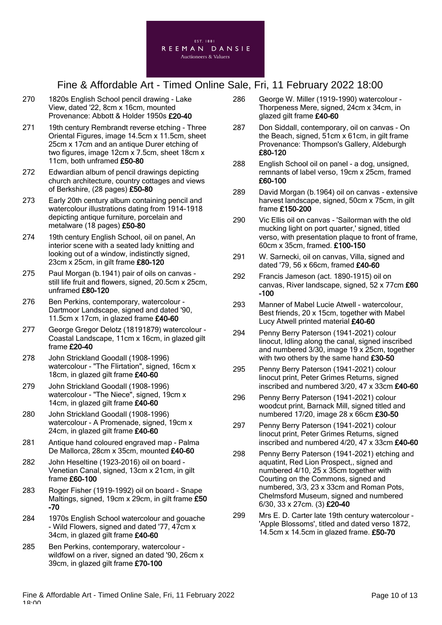

- 270 1820s English School pencil drawing Lake View, dated '22, 8cm x 16cm, mounted Provenance: Abbott & Holder 1950s £20-40
- 271 19th century Rembrandt reverse etching Three Oriental Figures, image 14.5cm x 11.5cm, sheet 25cm x 17cm and an antique Durer etching of two figures, image 12cm x 7.5cm, sheet 18cm x 11cm, both unframed £50-80
- 272 Edwardian album of pencil drawings depicting church architecture, country cottages and views of Berkshire, (28 pages) £50-80
- 273 Early 20th century album containing pencil and watercolour illustrations dating from 1914-1918 depicting antique furniture, porcelain and metalware (18 pages) £50-80
- 274 19th century English School, oil on panel, An interior scene with a seated lady knitting and looking out of a window, indistinctly signed, 23cm x 25cm, in gilt frame £80-120
- 275 Paul Morgan (b.1941) pair of oils on canvas still life fruit and flowers, signed, 20.5cm x 25cm, unframed £80-120
- 276 Ben Perkins, contemporary, watercolour Dartmoor Landscape, signed and dated '90, 11.5cm x 17cm, in glazed frame £40-60
- 277 George Gregor Delotz (18191879) watercolour Coastal Landscape, 11cm x 16cm, in glazed gilt frame £20-40
- 278 John Strickland Goodall (1908-1996) watercolour - "The Flirtation", signed, 16cm x 18cm, in glazed gilt frame £40-60
- 279 John Strickland Goodall (1908-1996) watercolour - "The Niece", signed, 19cm x 14cm, in glazed gilt frame £40-60
- 280 John Strickland Goodall (1908-1996) watercolour - A Promenade, signed, 19cm x 24cm, in glazed gilt frame £40-60
- 281 Antique hand coloured engraved map Palma De Mallorca, 28cm x 35cm, mounted £40-60
- 282 John Heseltine (1923-2016) oil on board Venetian Canal, signed, 13cm x 21cm, in gilt frame £60-100
- 283 Roger Fisher (1919-1992) oil on board Snape Maltings, signed, 19cm x 29cm, in gilt frame £50 -70
- 284 1970s English School watercolour and gouache - Wild Flowers, signed and dated '77, 47cm x 34cm, in glazed gilt frame £40-60
- 285 Ben Perkins, contemporary, watercolour wildfowl on a river, signed an dated '90, 26cm x 39cm, in glazed gilt frame £70-100
- 286 George W. Miller (1919-1990) watercolour Thorpeness Mere, signed, 24cm x 34cm, in glazed gilt frame £40-60
- 287 Don Siddall, contemporary, oil on canvas On the Beach, signed, 51cm x 61cm, in gilt frame Provenance: Thompson's Gallery, Aldeburgh £80-120
- 288 English School oil on panel a dog, unsigned, remnants of label verso, 19cm x 25cm, framed £60-100
- 289 David Morgan (b.1964) oil on canvas extensive harvest landscape, signed, 50cm x 75cm, in gilt frame £150-200
- 290 Vic Ellis oil on canvas 'Sailorman with the old mucking light on port quarter,' signed, titled verso, with presentation plaque to front of frame, 60cm x 35cm, framed. £100-150
- 291 W. Sarnecki, oil on canvas, Villa, signed and dated '79, 56 x 66cm, framed £40-60
- 292 Francis Jameson (act. 1890-1915) oil on canvas, River landscape, signed, 52 x 77cm £60 -100
- 293 Manner of Mabel Lucie Atwell watercolour, Best friends, 20 x 15cm, together with Mabel Lucy Atwell printed material £40-60
- 294 Penny Berry Paterson (1941-2021) colour linocut, Idling along the canal, signed inscribed and numbered 3/30, image 19 x 25cm, together with two others by the same hand £30-50
- 295 Penny Berry Paterson (1941-2021) colour linocut print, Peter Grimes Returns, signed inscribed and numbered 3/20, 47 x 33cm £40-60
- 296 Penny Berry Paterson (1941-2021) colour woodcut print, Barnack Mill, signed titled and numbered 17/20, image 28 x 66cm £30-50
- 297 Penny Berry Paterson (1941-2021) colour linocut print, Peter Grimes Returns, signed inscribed and numbered 4/20, 47 x 33cm £40-60
- 298 Penny Berry Paterson (1941-2021) etching and aquatint, Red Lion Prospect,, signed and numbered 4/10, 25 x 35cm together with Courting on the Commons, signed and numbered, 3/3, 23 x 33cm and Roman Pots, Chelmsford Museum, signed and numbered 6/30, 33 x 27cm. (3) £20-40
- 299 Mrs E. D. Carter late 19th century watercolour 'Apple Blossoms', titled and dated verso 1872, 14.5cm x 14.5cm in glazed frame. £50-70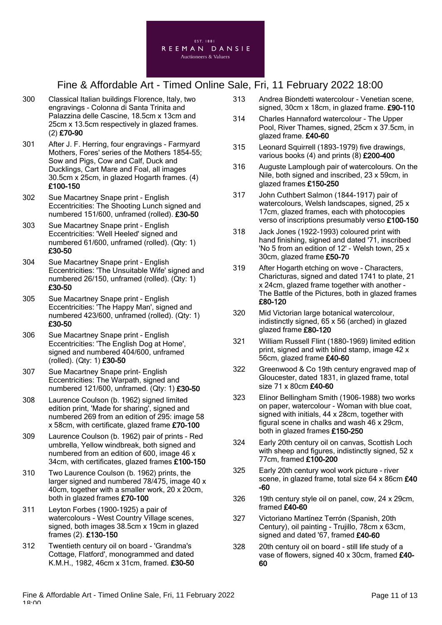

- 300 Classical Italian buildings Florence, Italy, two engravings - Colonna di Santa Trinita and Palazzina delle Cascine, 18.5cm x 13cm and 25cm x 13.5cm respectively in glazed frames. (2) £70-90
- 301 After J. F. Herring, four engravings Farmyard Mothers, Fores' series of the Mothers 1854-55; Sow and Pigs, Cow and Calf, Duck and Ducklings, Cart Mare and Foal, all images 30.5cm x 25cm, in glazed Hogarth frames. (4) £100-150
- 302 Sue Macartney Snape print English Eccentricities: The Shooting Lunch signed and numbered 151/600, unframed (rolled). £30-50
- 303 Sue Macartney Snape print English Eccentricities: 'Well Heeled' signed and numbered 61/600, unframed (rolled). (Qty: 1) £30-50
- 304 Sue Macartney Snape print English Eccentricities: 'The Unsuitable Wife' signed and numbered 26/150, unframed (rolled). (Qty: 1) £30-50
- 305 Sue Macartney Snape print English Eccentricities: 'The Happy Man', signed and numbered 423/600, unframed (rolled). (Qty: 1) £30-50
- 306 Sue Macartney Snape print English Eccentricities: 'The English Dog at Home', signed and numbered 404/600, unframed (rolled). (Qty: 1) £30-50
- 307 Sue Macartney Snape print- English Eccentricities: The Warpath, signed and numbered 121/600, unframed. (Qty: 1) £30-50
- 308 Laurence Coulson (b. 1962) signed limited edition print, 'Made for sharing', signed and numbered 269 from an edition of 295: image 58 x 58cm, with certificate, glazed frame £70-100
- 309 Laurence Coulson (b. 1962) pair of prints Red umbrella, Yellow windbreak, both signed and numbered from an edition of 600, image 46 x 34cm, with certificates, glazed frames £100-150
- 310 Two Laurence Coulson (b. 1962) prints, the larger signed and numbered 78/475, image 40 x 40cm, together with a smaller work, 20 x 20cm, both in glazed frames £70-100
- 311 Leyton Forbes (1900-1925) a pair of watercolours - West Country Village scenes, signed, both images 38.5cm x 19cm in glazed frames (2). £130-150
- 312 Twentieth century oil on board 'Grandma's Cottage, Flatford', monogrammed and dated K.M.H., 1982, 46cm x 31cm, framed. £30-50
- 313 Andrea Biondetti watercolour Venetian scene, signed, 30cm x 18cm, in glazed frame. £90-110
- 314 Charles Hannaford watercolour The Upper Pool, River Thames, signed, 25cm x 37.5cm, in glazed frame. £40-60
- 315 Leonard Squirrell (1893-1979) five drawings, various books (4) and prints (8) £200-400
- 316 Auguste Lamplough pair of watercolours. On the Nile, both signed and inscribed, 23 x 59cm, in glazed frames £150-250
- 317 John Cuthbert Salmon (1844-1917) pair of watercolours, Welsh landscapes, signed, 25 x 17cm, glazed frames, each with photocopies verso of inscriptions presumably verso £100-150
- 318 Jack Jones (1922-1993) coloured print with hand finishing, signed and dated '71, inscribed 'No 5 from an edition of 12' - Welsh town, 25 x 30cm, glazed frame £50-70
- 319 After Hogarth etching on wove Characters, Charicturas, signed and dated 1741 to plate, 21 x 24cm, glazed frame together with another - The Battle of the Pictures, both in glazed frames £80-120
- 320 Mid Victorian large botanical watercolour, indistinctly signed, 65 x 56 (arched) in glazed glazed frame £80-120
- 321 William Russell Flint (1880-1969) limited edition print, signed and with blind stamp, image 42 x 56cm, glazed frame £40-60
- 322 Greenwood & Co 19th century engraved map of Gloucester, dated 1831, in glazed frame, total size 71 x 80cm £40-60
- 323 Elinor Bellingham Smith (1906-1988) two works on paper, watercolour - Woman with blue coat, signed with initials, 44 x 28cm, together with figural scene in chalks and wash 46 x 29cm, both in glazed frames £150-250
- 324 Early 20th century oil on canvas, Scottish Loch with sheep and figures, indistinctly signed, 52 x 77cm, framed £100-200
- 325 Early 20th century wool work picture river scene, in glazed frame, total size 64 x 86cm £40 -60
- 326 19th century style oil on panel, cow, 24 x 29cm, framed £40-60
- 327 Victoriano Martínez Terrón (Spanish, 20th Century), oil painting - Trujillo, 78cm x 63cm, signed and dated '67, framed £40-60
- 328 20th century oil on board still life study of a vase of flowers, signed 40 x 30cm, framed £40- 60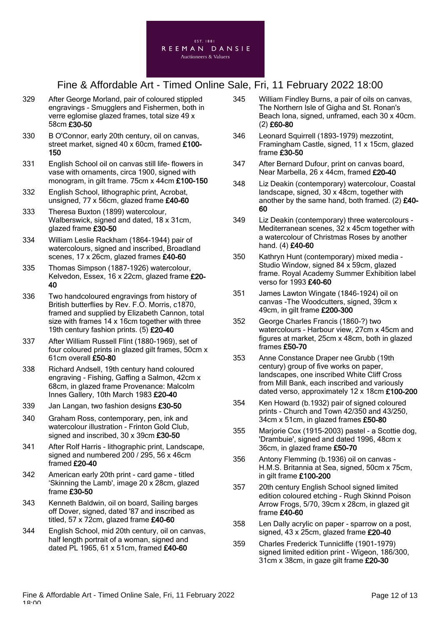

- 329 After George Morland, pair of coloured stippled engravings - Smugglers and Fishermen, both in verre eglomise glazed frames, total size 49 x 58cm £30-50
- 330 B O'Connor, early 20th century, oil on canvas, street market, signed 40 x 60cm, framed £100-150
- 331 English School oil on canvas still life- flowers in vase with ornaments, circa 1900, signed with monogram, in gilt frame. 75cm x 44cm £100-150
- 332 English School, lithographic print, Acrobat, unsigned, 77 x 56cm, glazed frame £40-60
- 333 Theresa Buxton (1899) watercolour, Walberswick, signed and dated, 18 x 31cm, glazed frame £30-50
- 334 William Leslie Rackham (1864-1944) pair of watercolours, signed and inscribed, Broadland scenes, 17 x 26cm, glazed frames £40-60
- 335 Thomas Simpson (1887-1926) watercolour, Kelvedon, Essex, 16 x 22cm, glazed frame £20- 40
- 336 Two handcoloured engravings from history of British butterflies by Rev. F.O. Morris, c1870, framed and supplied by Elizabeth Cannon, total size with frames 14 x 16cm together with three 19th century fashion prints. (5) £20-40
- 337 After William Russell Flint (1880-1969), set of four coloured prints in glazed gilt frames, 50cm x 61cm overall £50-80
- 338 Richard Andsell, 19th century hand coloured engraving - Fishing, Gaffing a Salmon, 42cm x 68cm, in glazed frame Provenance: Malcolm Innes Gallery, 10th March 1983 £20-40
- 339 Jan Langan, two fashion designs £30-50
- 340 Graham Ross, contemporary, pen, ink and watercolour illustration - Frinton Gold Club, signed and inscribed, 30 x 39cm £30-50
- 341 After Rolf Harris lithographic print, Landscape, signed and numbered 200 / 295, 56 x 46cm framed £20-40
- 342 American early 20th print card game titled 'Skinning the Lamb', image 20 x 28cm, glazed frame £30-50
- 343 Kenneth Baldwin, oil on board, Sailing barges off Dover, signed, dated '87 and inscribed as titled, 57 x 72cm, glazed frame £40-60
- 344 English School, mid 20th century, oil on canvas, half length portrait of a woman, signed and dated PL 1965, 61 x 51cm, framed £40-60
- 345 William Findley Burns, a pair of oils on canvas, The Northern Isle of Gigha and St. Ronan's Beach Iona, signed, unframed, each 30 x 40cm. (2) £60-80
- 346 Leonard Squirrell (1893-1979) mezzotint, Framingham Castle, signed, 11 x 15cm, glazed frame £30-50
- 347 After Bernard Dufour, print on canvas board, Near Marbella, 26 x 44cm, framed £20-40
- 348 Liz Deakin (contemporary) watercolour, Coastal landscape, signed, 30 x 48cm, together with another by the same hand, both framed. (2) £40- 60
- 349 Liz Deakin (contemporary) three watercolours Mediterranean scenes, 32 x 45cm together with a watercolour of Christmas Roses by another hand. (4) £40-60
- 350 Kathryn Hunt (contemporary) mixed media Studio Window, signed 84 x 59cm, glazed frame. Royal Academy Summer Exhibition label verso for 1993 £40-60
- 351 James Lawton Wingate (1846-1924) oil on canvas -The Woodcutters, signed, 39cm x 49cm, in gilt frame £200-300
- 352 George Charles Francis (1860-?) two watercolours - Harbour view, 27cm x 45cm and figures at market, 25cm x 48cm, both in glazed frames £50-70
- 353 Anne Constance Draper nee Grubb (19th century) group of five works on paper, landscapes, one inscribed White Cliff Cross from Mill Bank, each inscribed and variously dated verso, approximately 12 x 18cm £100-200
- 354 Ken Howard (b.1932) pair of signed coloured prints - Church and Town 42/350 and 43/250, 34cm x 51cm, in glazed frames £50-80
- 355 Marjorie Cox (1915-2003) pastel a Scottie dog, 'Drambuie', signed and dated 1996, 48cm x 36cm, in glazed frame £50-70
- 356 Antony Flemming (b.1936) oil on canvas H.M.S. Britannia at Sea, signed, 50cm x 75cm, in gilt frame £100-200
- 357 20th century English School signed limited edition coloured etching - Rugh Skinnd Poison Arrow Frogs, 5/70, 39cm x 28cm, in glazed git frame £40-60
- 358 Len Dally acrylic on paper sparrow on a post, signed, 43 x 25cm, glazed frame £20-40
- 359 Charles Frederick Tunnicliffe (1901-1979) signed limited edition print - Wigeon, 186/300, 31cm x 38cm, in gaze gilt frame £20-30